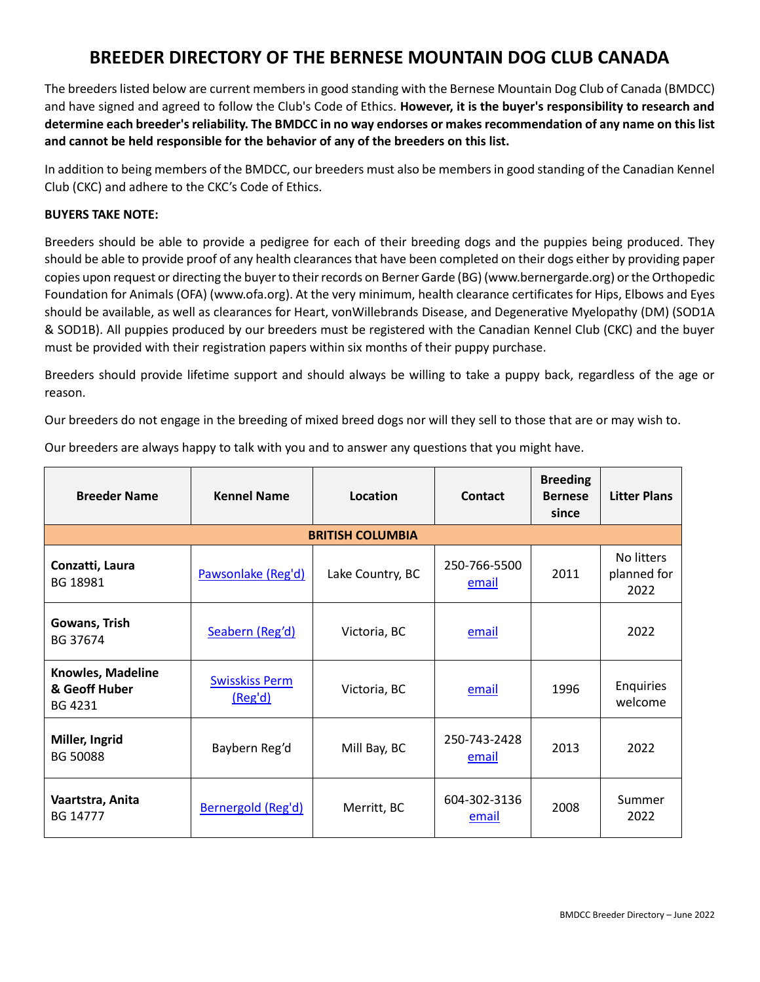## **BREEDER DIRECTORY OF THE BERNESE MOUNTAIN DOG CLUB CANADA**

The breeders listed below are current members in good standing with the Bernese Mountain Dog Club of Canada (BMDCC) and have signed and agreed to follow the Club's Code of Ethics. **However, it is the buyer's responsibility to research and determine each breeder's reliability. The BMDCC in no way endorses or makes recommendation of any name on this list and cannot be held responsible for the behavior of any of the breeders on this list.**

In addition to being members of the BMDCC, our breeders must also be members in good standing of the Canadian Kennel Club (CKC) and adhere to the CKC's Code of Ethics.

## **BUYERS TAKE NOTE:**

Breeders should be able to provide a pedigree for each of their breeding dogs and the puppies being produced. They should be able to provide proof of any health clearances that have been completed on their dogs either by providing paper copies upon request or directing the buyer to their records on Berner Garde (BG) [\(www.bernergarde.org\)](file:///C:/C:/Users/Helen/Documents/Working%20files/BMDCC/www.bernergarde.org) or the Orthopedic Foundation for Animals (OFA) [\(www.ofa.org\)](file:///C:/C:/Users/Helen/Documents/Working%20files/BMDCC/www.ofa.org). At the very minimum, health clearance certificates for Hips, Elbows and Eyes should be available, as well as clearances for Heart, vonWillebrands Disease, and Degenerative Myelopathy (DM) (SOD1A & SOD1B). All puppies produced by our breeders must be registered with the Canadian Kennel Club (CKC) and the buyer must be provided with their registration papers within six months of their puppy purchase.

Breeders should provide lifetime support and should always be willing to take a puppy back, regardless of the age or reason.

Our breeders do not engage in the breeding of mixed breed dogs nor will they sell to those that are or may wish to.

| <b>Breeder Name</b>                           | <b>Kennel Name</b>               | Location                | <b>Contact</b>        | <b>Breeding</b><br><b>Bernese</b><br>since | <b>Litter Plans</b>               |
|-----------------------------------------------|----------------------------------|-------------------------|-----------------------|--------------------------------------------|-----------------------------------|
|                                               |                                  | <b>BRITISH COLUMBIA</b> |                       |                                            |                                   |
| Conzatti, Laura<br>BG 18981                   | Pawsonlake (Reg'd)               | Lake Country, BC        | 250-766-5500<br>email | 2011                                       | No litters<br>planned for<br>2022 |
| Gowans, Trish<br>BG 37674                     | Seabern (Reg'd)                  | Victoria, BC            | email                 |                                            | 2022                              |
| Knowles, Madeline<br>& Geoff Huber<br>BG 4231 | <b>Swisskiss Perm</b><br>(Reg'd) | Victoria, BC            | email                 | 1996                                       | Enquiries<br>welcome              |
| Miller, Ingrid<br><b>BG 50088</b>             | Baybern Reg'd                    | Mill Bay, BC            | 250-743-2428<br>email | 2013                                       | 2022                              |
| Vaartstra, Anita<br>BG 14777                  | Bernergold (Reg'd)               | Merritt, BC             | 604-302-3136<br>email | 2008                                       | Summer<br>2022                    |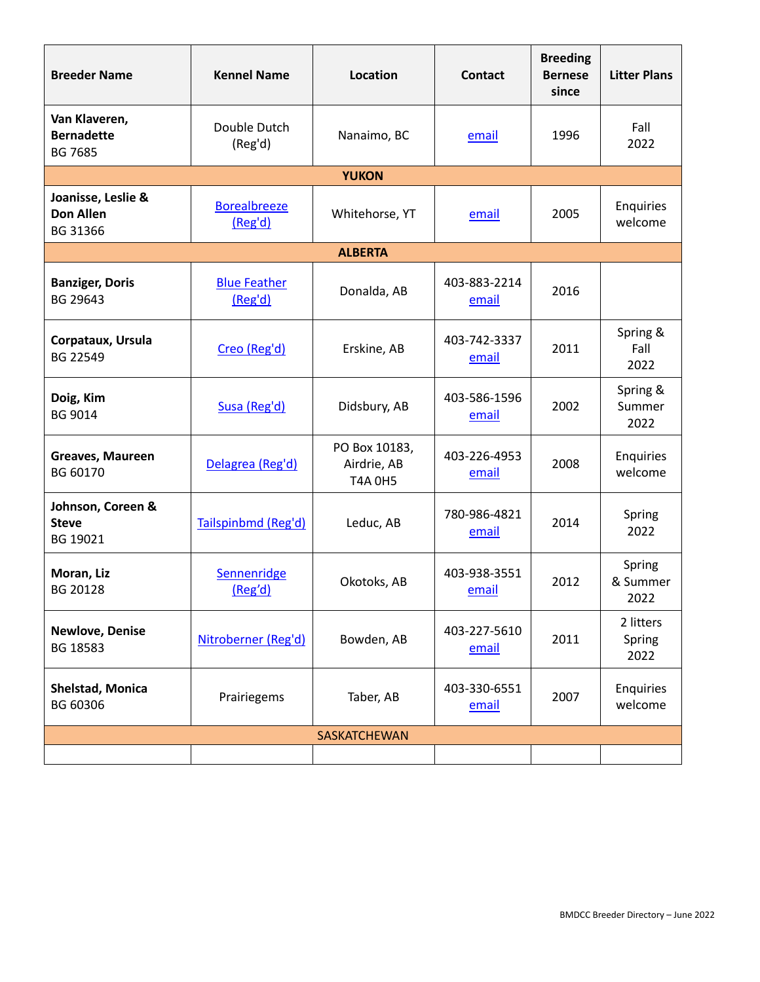| <b>Breeder Name</b>                                  | <b>Kennel Name</b>             | Location                                       | <b>Contact</b>        | <b>Breeding</b><br><b>Bernese</b><br>since | <b>Litter Plans</b>         |
|------------------------------------------------------|--------------------------------|------------------------------------------------|-----------------------|--------------------------------------------|-----------------------------|
| Van Klaveren,<br><b>Bernadette</b><br><b>BG 7685</b> | Double Dutch<br>(Reg'd)        | Nanaimo, BC                                    | email                 | 1996                                       | Fall<br>2022                |
|                                                      |                                | <b>YUKON</b>                                   |                       |                                            |                             |
| Joanisse, Leslie &<br><b>Don Allen</b><br>BG 31366   | <b>Borealbreeze</b><br>(Reg'd) | Whitehorse, YT                                 | email                 | 2005                                       | Enquiries<br>welcome        |
|                                                      |                                | <b>ALBERTA</b>                                 |                       |                                            |                             |
| <b>Banziger, Doris</b><br>BG 29643                   | <b>Blue Feather</b><br>(Reg'd) | Donalda, AB                                    | 403-883-2214<br>email | 2016                                       |                             |
| Corpataux, Ursula<br>BG 22549                        | Creo (Reg'd)                   | Erskine, AB                                    | 403-742-3337<br>email | 2011                                       | Spring &<br>Fall<br>2022    |
| Doig, Kim<br><b>BG 9014</b>                          | Susa (Reg'd)                   | Didsbury, AB                                   | 403-586-1596<br>email | 2002                                       | Spring &<br>Summer<br>2022  |
| Greaves, Maureen<br>BG 60170                         | Delagrea (Reg'd)               | PO Box 10183,<br>Airdrie, AB<br><b>T4A 0H5</b> | 403-226-4953<br>email | 2008                                       | Enquiries<br>welcome        |
| Johnson, Coreen &<br><b>Steve</b><br>BG 19021        | Tailspinbmd (Reg'd)            | Leduc, AB                                      | 780-986-4821<br>email | 2014                                       | Spring<br>2022              |
| Moran, Liz<br>BG 20128                               | Sennenridge<br>(Reg'd)         | Okotoks, AB                                    | 403-938-3551<br>email | 2012                                       | Spring<br>& Summer<br>2022  |
| <b>Newlove, Denise</b><br>BG 18583                   | Nitroberner (Reg'd)            | Bowden, AB                                     | 403-227-5610<br>email | 2011                                       | 2 litters<br>Spring<br>2022 |
| <b>Shelstad, Monica</b><br>BG 60306                  | Prairiegems                    | Taber, AB                                      | 403-330-6551<br>email | 2007                                       | Enquiries<br>welcome        |
| SASKATCHEWAN                                         |                                |                                                |                       |                                            |                             |
|                                                      |                                |                                                |                       |                                            |                             |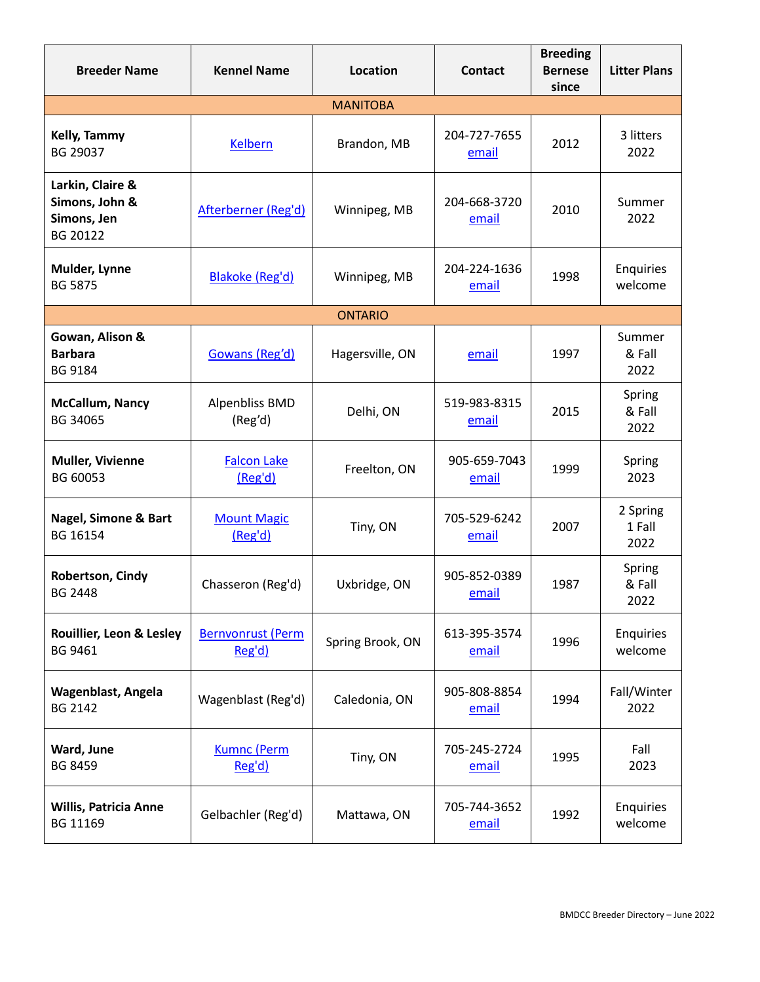| <b>Breeder Name</b>                                           | <b>Kennel Name</b>                 | Location         | <b>Contact</b>        | <b>Breeding</b><br><b>Bernese</b><br>since | <b>Litter Plans</b>        |
|---------------------------------------------------------------|------------------------------------|------------------|-----------------------|--------------------------------------------|----------------------------|
|                                                               |                                    | <b>MANITOBA</b>  |                       |                                            |                            |
| Kelly, Tammy<br>BG 29037                                      | <b>Kelbern</b>                     | Brandon, MB      | 204-727-7655<br>email | 2012                                       | 3 litters<br>2022          |
| Larkin, Claire &<br>Simons, John &<br>Simons, Jen<br>BG 20122 | Afterberner (Reg'd)                | Winnipeg, MB     | 204-668-3720<br>email | 2010                                       | Summer<br>2022             |
| Mulder, Lynne<br><b>BG 5875</b>                               | Blakoke (Reg'd)                    | Winnipeg, MB     | 204-224-1636<br>email | 1998                                       | Enquiries<br>welcome       |
|                                                               |                                    | <b>ONTARIO</b>   |                       |                                            |                            |
| Gowan, Alison &<br><b>Barbara</b><br>BG 9184                  | Gowans (Reg'd)                     | Hagersville, ON  | email                 | 1997                                       | Summer<br>& Fall<br>2022   |
| McCallum, Nancy<br>BG 34065                                   | <b>Alpenbliss BMD</b><br>(Reg'd)   | Delhi, ON        | 519-983-8315<br>email | 2015                                       | Spring<br>& Fall<br>2022   |
| <b>Muller, Vivienne</b><br>BG 60053                           | <b>Falcon Lake</b><br>(Reg'd)      | Freelton, ON     | 905-659-7043<br>email | 1999                                       | Spring<br>2023             |
| <b>Nagel, Simone &amp; Bart</b><br>BG 16154                   | <b>Mount Magic</b><br>(Reg'd)      | Tiny, ON         | 705-529-6242<br>email | 2007                                       | 2 Spring<br>1 Fall<br>2022 |
| Robertson, Cindy<br><b>BG 2448</b>                            | Chasseron (Reg'd)                  | Uxbridge, ON     | 905-852-0389<br>email | 1987                                       | Spring<br>& Fall<br>2022   |
| Rouillier, Leon & Lesley<br>BG 9461                           | <b>Bernvonrust (Perm</b><br>Reg'd) | Spring Brook, ON | 613-395-3574<br>email | 1996                                       | Enquiries<br>welcome       |
| <b>Wagenblast, Angela</b><br><b>BG 2142</b>                   | Wagenblast (Reg'd)                 | Caledonia, ON    | 905-808-8854<br>email | 1994                                       | Fall/Winter<br>2022        |
| Ward, June<br><b>BG 8459</b>                                  | <b>Kumnc (Perm</b><br>Reg'd)       | Tiny, ON         | 705-245-2724<br>email | 1995                                       | Fall<br>2023               |
| <b>Willis, Patricia Anne</b><br>BG 11169                      | Gelbachler (Reg'd)                 | Mattawa, ON      | 705-744-3652<br>email | 1992                                       | Enquiries<br>welcome       |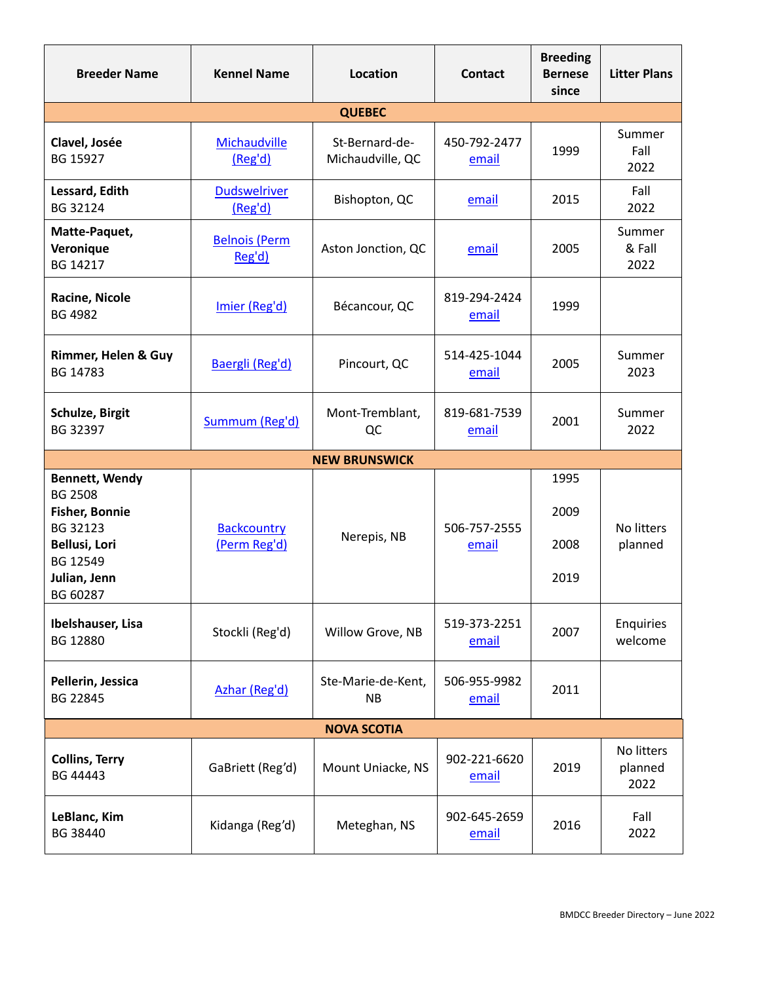| <b>Breeder Name</b>                                                                                                                   | <b>Kennel Name</b>                 | <b>Location</b>                    | <b>Contact</b>        | <b>Breeding</b><br><b>Bernese</b><br>since | <b>Litter Plans</b>           |  |
|---------------------------------------------------------------------------------------------------------------------------------------|------------------------------------|------------------------------------|-----------------------|--------------------------------------------|-------------------------------|--|
|                                                                                                                                       |                                    | <b>QUEBEC</b>                      |                       |                                            |                               |  |
| Clavel, Josée<br>BG 15927                                                                                                             | Michaudville<br>(Reg'd)            | St-Bernard-de-<br>Michaudville, QC | 450-792-2477<br>email | 1999                                       | Summer<br>Fall<br>2022        |  |
| Lessard, Edith<br>BG 32124                                                                                                            | <b>Dudswelriver</b><br>(Reg'd)     | Bishopton, QC                      | email                 | 2015                                       | Fall<br>2022                  |  |
| Matte-Paquet,<br>Veronique<br>BG 14217                                                                                                | <b>Belnois (Perm</b><br>Reg'd)     | Aston Jonction, QC                 | email                 | 2005                                       | Summer<br>& Fall<br>2022      |  |
| Racine, Nicole<br><b>BG 4982</b>                                                                                                      | Imier (Reg'd)                      | Bécancour, QC                      | 819-294-2424<br>email | 1999                                       |                               |  |
| Rimmer, Helen & Guy<br>BG 14783                                                                                                       | Baergli (Reg'd)                    | Pincourt, QC                       | 514-425-1044<br>email | 2005                                       | Summer<br>2023                |  |
| Schulze, Birgit<br>BG 32397                                                                                                           | Summum (Reg'd)                     | Mont-Tremblant,<br>QC              | 819-681-7539<br>email | 2001                                       | Summer<br>2022                |  |
|                                                                                                                                       |                                    | <b>NEW BRUNSWICK</b>               |                       |                                            |                               |  |
| <b>Bennett, Wendy</b><br><b>BG 2508</b><br><b>Fisher, Bonnie</b><br>BG 32123<br>Bellusi, Lori<br>BG 12549<br>Julian, Jenn<br>BG 60287 | <b>Backcountry</b><br>(Perm Reg'd) | Nerepis, NB                        | 506-757-2555<br>email | 1995<br>2009<br>2008<br>2019               | No litters<br>planned         |  |
| Ibelshauser, Lisa<br>BG 12880                                                                                                         | Stockli (Reg'd)                    | Willow Grove, NB                   | 519-373-2251<br>email | 2007                                       | Enquiries<br>welcome          |  |
| Pellerin, Jessica<br>BG 22845                                                                                                         | Azhar (Reg'd)                      | Ste-Marie-de-Kent,<br><b>NB</b>    | 506-955-9982<br>email | 2011                                       |                               |  |
| <b>NOVA SCOTIA</b>                                                                                                                    |                                    |                                    |                       |                                            |                               |  |
| <b>Collins, Terry</b><br>BG 44443                                                                                                     | GaBriett (Reg'd)                   | Mount Uniacke, NS                  | 902-221-6620<br>email | 2019                                       | No litters<br>planned<br>2022 |  |
| LeBlanc, Kim<br>BG 38440                                                                                                              | Kidanga (Reg'd)                    | Meteghan, NS                       | 902-645-2659<br>email | 2016                                       | Fall<br>2022                  |  |